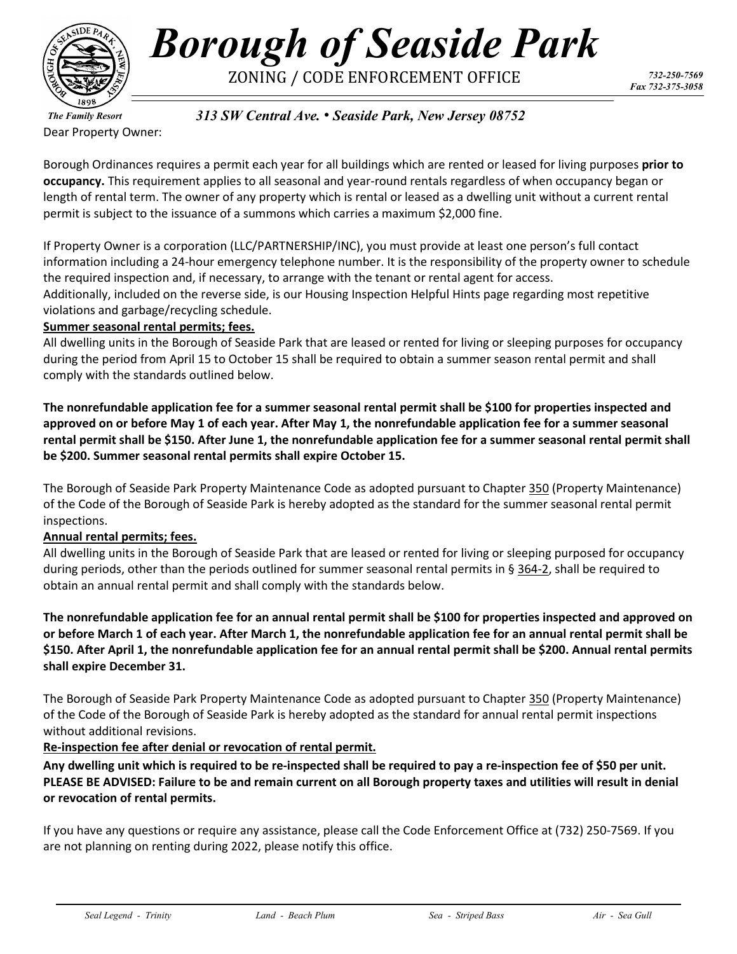

# *Borough of Seaside Park* ZONING / CODE ENFORCEMENT OFFICE *732-250-7569*

*The Family Resort* Dear Property Owner: *313 SW Central Ave.* • *Seaside Park, New Jersey 08752*

Borough Ordinances requires a permit each year for all buildings which are rented or leased for living purposes **prior to occupancy.** This requirement applies to all seasonal and year-round rentals regardless of when occupancy began or length of rental term. The owner of any property which is rental or leased as a dwelling unit without a current rental permit is subject to the issuance of a summons which carries a maximum \$2,000 fine.

If Property Owner is a corporation (LLC/PARTNERSHIP/INC), you must provide at least one person's full contact information including a 24-hour emergency telephone number. It is the responsibility of the property owner to schedule the required inspection and, if necessary, to arrange with the tenant or rental agent for access. Additionally, included on the reverse side, is our Housing Inspection Helpful Hints page regarding most repetitive violations and garbage/recycling schedule.

#### **Summer seasonal rental permits; fees.**

All dwelling units in the Borough of Seaside Park that are leased or rented for living or sleeping purposes for occupancy during the period from April 15 to October 15 shall be required to obtain a summer season rental permit and shall comply with the standards outlined below.

**The nonrefundable application fee for a summer seasonal rental permit shall be \$100 for properties inspected and approved on or before May 1 of each year. After May 1, the nonrefundable application fee for a summer seasonal rental permit shall be \$150. After June 1, the nonrefundable application fee for a summer seasonal rental permit shall be \$200. Summer seasonal rental permits shall expire October 15.** 

The Borough of Seaside Park Property Maintenance Code as adopted pursuant to Chapter 350 (Property Maintenance) of the Code of the Borough of Seaside Park is hereby adopted as the standard for the summer seasonal rental permit inspections.

#### **Annual rental permits; fees.**

All dwelling units in the Borough of Seaside Park that are leased or rented for living or sleeping purposed for occupancy during periods, other than the periods outlined for summer seasonal rental permits in § 364-2, shall be required to obtain an annual rental permit and shall comply with the standards below.

**The nonrefundable application fee for an annual rental permit shall be \$100 for properties inspected and approved on or before March 1 of each year. After March 1, the nonrefundable application fee for an annual rental permit shall be \$150. After April 1, the nonrefundable application fee for an annual rental permit shall be \$200. Annual rental permits shall expire December 31.** 

The Borough of Seaside Park Property Maintenance Code as adopted pursuant to Chapter 350 (Property Maintenance) of the Code of the Borough of Seaside Park is hereby adopted as the standard for annual rental permit inspections without additional revisions.

#### **Re-inspection fee after denial or revocation of rental permit.**

**Any dwelling unit which is required to be re-inspected shall be required to pay a re-inspection fee of \$50 per unit. PLEASE BE ADVISED: Failure to be and remain current on all Borough property taxes and utilities will result in denial or revocation of rental permits.** 

If you have any questions or require any assistance, please call the Code Enforcement Office at (732) 250-7569. If you are not planning on renting during 2022, please notify this office.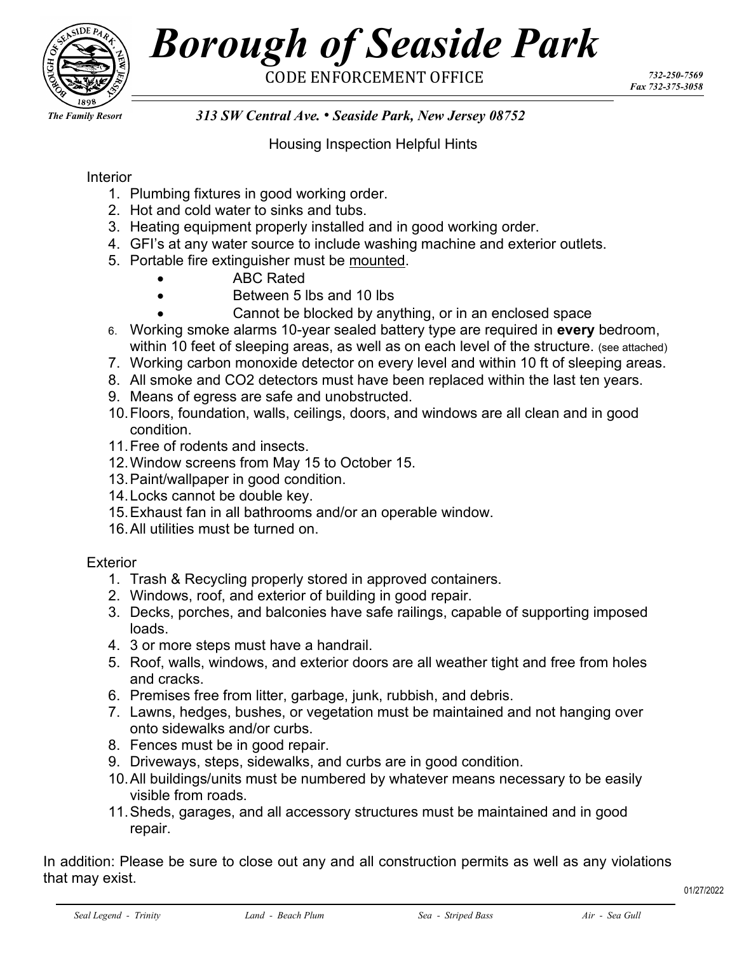

# *Borough of Seaside Park* CODE ENFORCEMENT OFFICE *732-250-7569*

*Fax 732-375-3058*

*The Family Resort*

### *313 SW Central Ave.* • *Seaside Park, New Jersey 08752*

Housing Inspection Helpful Hints

#### Interior

- 1. Plumbing fixtures in good working order.
- 2. Hot and cold water to sinks and tubs.
- 3. Heating equipment properly installed and in good working order.
- 4. GFI's at any water source to include washing machine and exterior outlets.
- 5. Portable fire extinguisher must be mounted.
	- ABC Rated
	- Between 5 lbs and 10 lbs
		- Cannot be blocked by anything, or in an enclosed space
- 6. Working smoke alarms 10-year sealed battery type are required in **every** bedroom, within 10 feet of sleeping areas, as well as on each level of the structure. (see attached)
- 7. Working carbon monoxide detector on every level and within 10 ft of sleeping areas.
- 8. All smoke and CO2 detectors must have been replaced within the last ten years.
- 9. Means of egress are safe and unobstructed.
- 10.Floors, foundation, walls, ceilings, doors, and windows are all clean and in good condition.
- 11.Free of rodents and insects.
- 12.Window screens from May 15 to October 15.
- 13.Paint/wallpaper in good condition.
- 14.Locks cannot be double key.
- 15.Exhaust fan in all bathrooms and/or an operable window.
- 16.All utilities must be turned on.

#### **Exterior**

- 1. Trash & Recycling properly stored in approved containers.
- 2. Windows, roof, and exterior of building in good repair.
- 3. Decks, porches, and balconies have safe railings, capable of supporting imposed loads.
- 4. 3 or more steps must have a handrail.
- 5. Roof, walls, windows, and exterior doors are all weather tight and free from holes and cracks.
- 6. Premises free from litter, garbage, junk, rubbish, and debris.
- 7. Lawns, hedges, bushes, or vegetation must be maintained and not hanging over onto sidewalks and/or curbs.
- 8. Fences must be in good repair.
- 9. Driveways, steps, sidewalks, and curbs are in good condition.
- 10.All buildings/units must be numbered by whatever means necessary to be easily visible from roads.
- 11.Sheds, garages, and all accessory structures must be maintained and in good repair.

In addition: Please be sure to close out any and all construction permits as well as any violations that may exist.